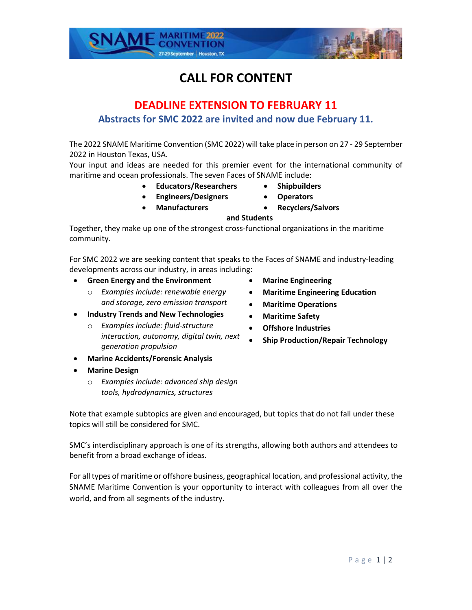# **CALL FOR CONTENT**

## **DEADLINE EXTENSION TO FEBRUARY 11 Abstracts for SMC 2022 are invited and now due February 11.**

The 2022 SNAME Maritime Convention (SMC 2022) will take place in person on 27 - 29 September 2022 in Houston Texas, USA.

Your input and ideas are needed for this premier event for the international community of maritime and ocean professionals. The seven Faces of SNAME include:

- **Educators/Researchers Shipbuilders**
	-
- **Engineers/Designers Operators**
	- **Manufacturers Recyclers/Salvors**
	-
- **and Students** Together, they make up one of the strongest cross-functional organizations in the maritime community.

For SMC 2022 we are seeking content that speaks to the Faces of SNAME and industry-leading developments across our industry, in areas including:

- **Green Energy and the Environment**
	- o *Examples include: renewable energy and storage, zero emission transport*
- **Industry Trends and New Technologies** 
	- o *Examples include: fluid-structure interaction, autonomy, digital twin, next generation propulsion*
- **Marine Accidents/Forensic Analysis**
- **Marine Design** 
	- o *Examples include: advanced ship design tools, hydrodynamics, structures*

Note that example subtopics are given and encouraged, but topics that do not fall under these topics will still be considered for SMC.

SMC's interdisciplinary approach is one of its strengths, allowing both authors and attendees to benefit from a broad exchange of ideas.

For all types of maritime or offshore business, geographical location, and professional activity, the SNAME Maritime Convention is your opportunity to interact with colleagues from all over the world, and from all segments of the industry.

- **Marine Engineering**
- **Maritime Engineering Education**
- **Maritime Operations**
- **Maritime Safety**
- **Offshore Industries**
- **Ship Production/Repair Technology**

27-29 September | Houston, TX